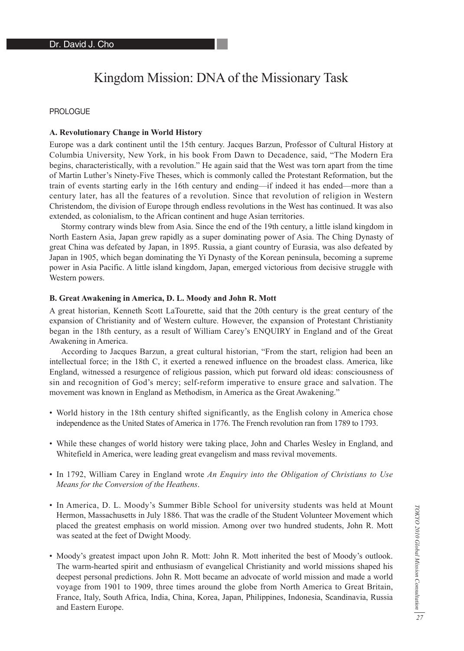# Kingdom Mission: DNA of the Missionary Task

## PROLOGUE

## **A. Revolutionary Change in World History**

Europe was a dark continent until the 15th century. Jacques Barzun, Professor of Cultural History at Columbia University, New York, in his book From Dawn to Decadence, said, "The Modern Era begins, characteristically, with a revolution." He again said that the West was torn apart from the time of Martin Luther's Ninety-Five Theses, which is commonly called the Protestant Reformation, but the train of events starting early in the 16th century and ending—if indeed it has ended—more than a century later, has all the features of a revolution. Since that revolution of religion in Western Christendom, the division of Europe through endless revolutions in the West has continued. It was also extended, as colonialism, to the African continent and huge Asian territories.

Stormy contrary winds blew from Asia. Since the end of the 19th century, a little island kingdom in North Eastern Asia, Japan grew rapidly as a super dominating power of Asia. The Ching Dynasty of great China was defeated by Japan, in 1895. Russia, a giant country of Eurasia, was also defeated by Japan in 1905, which began dominating the Yi Dynasty of the Korean peninsula, becoming a supreme power in Asia Pacific. A little island kingdom, Japan, emerged victorious from decisive struggle with Western powers.

## **B. Great Awakening in America, D. L. Moody and John R. Mott**

A great historian, Kenneth Scott LaTourette, said that the 20th century is the great century of the expansion of Christianity and of Western culture. However, the expansion of Protestant Christianity began in the 18th century, as a result of William Carey's ENQUIRY in England and of the Great Awakening in America.

According to Jacques Barzun, a great cultural historian, "From the start, religion had been an intellectual force; in the 18th C, it exerted a renewed influence on the broadest class. America, like England, witnessed a resurgence of religious passion, which put forward old ideas: consciousness of sin and recognition of God's mercy; self-reform imperative to ensure grace and salvation. The movement was known in England as Methodism, in America as the Great Awakening."

- World history in the 18th century shifted significantly, as the English colony in America chose independence as the United States of America in 1776. The French revolution ran from 1789 to 1793.
- While these changes of world history were taking place, John and Charles Wesley in England, and Whitefield in America, were leading great evangelism and mass revival movements.
- In 1792, William Carey in England wrote *An Enquiry into the Obligation of Christians to Use Means for the Conversion of the Heathens*.
- In America, D. L. Moody's Summer Bible School for university students was held at Mount Hermon, Massachusetts in July 1886. That was the cradle of the Student Volunteer Movement which placed the greatest emphasis on world mission. Among over two hundred students, John R. Mott was seated at the feet of Dwight Moody.
- Moody's greatest impact upon John R. Mott: John R. Mott inherited the best of Moody's outlook. The warm-hearted spirit and enthusiasm of evangelical Christianity and world missions shaped his deepest personal predictions. John R. Mott became an advocate of world mission and made a world voyage from 1901 to 1909, three times around the globe from North America to Great Britain, France, Italy, South Africa, India, China, Korea, Japan, Philippines, Indonesia, Scandinavia, Russia and Eastern Europe.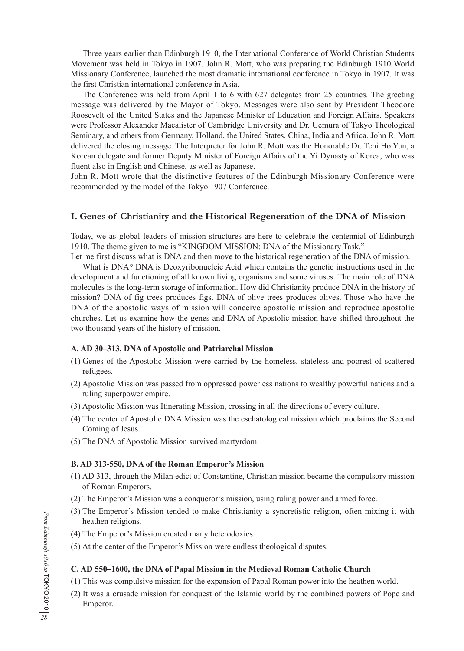Three years earlier than Edinburgh 1910, the International Conference of World Christian Students Movement was held in Tokyo in 1907. John R. Mott, who was preparing the Edinburgh 1910 World Missionary Conference, launched the most dramatic international conference in Tokyo in 1907. It was the first Christian international conference in Asia.

The Conference was held from April 1 to 6 with 627 delegates from 25 countries. The greeting message was delivered by the Mayor of Tokyo. Messages were also sent by President Theodore Roosevelt of the United States and the Japanese Minister of Education and Foreign Affairs. Speakers were Professor Alexander Macalister of Cambridge University and Dr. Uemura of Tokyo Theological Seminary, and others from Germany, Holland, the United States, China, India and Africa. John R. Mott delivered the closing message. The Interpreter for John R. Mott was the Honorable Dr. Tchi Ho Yun, a Korean delegate and former Deputy Minister of Foreign Affairs of the Yi Dynasty of Korea, who was fluent also in English and Chinese, as well as Japanese.

John R. Mott wrote that the distinctive features of the Edinburgh Missionary Conference were recommended by the model of the Tokyo 1907 Conference.

# **I. Genes of Christianity and the Historical Regeneration of the DNA of Mission**

Today, we as global leaders of mission structures are here to celebrate the centennial of Edinburgh 1910. The theme given to me is "KINGDOM MISSION: DNA of the Missionary Task."

Let me first discuss what is DNA and then move to the historical regeneration of the DNA of mission.

What is DNA? DNA is Deoxyribonucleic Acid which contains the genetic instructions used in the development and functioning of all known living organisms and some viruses. The main role of DNA molecules is the long-term storage of information. How did Christianity produce DNA in the history of mission? DNA of fig trees produces figs. DNA of olive trees produces olives. Those who have the DNA of the apostolic ways of mission will conceive apostolic mission and reproduce apostolic churches. Let us examine how the genes and DNA of Apostolic mission have shifted throughout the two thousand years of the history of mission.

## **A. AD 30–313, DNA of Apostolic and Patriarchal Mission**

- (1) Genes of the Apostolic Mission were carried by the homeless, stateless and poorest of scattered refugees.
- (2) Apostolic Mission was passed from oppressed powerless nations to wealthy powerful nations and a ruling superpower empire.
- (3) Apostolic Mission was Itinerating Mission, crossing in all the directions of every culture.
- (4) The center of Apostolic DNA Mission was the eschatological mission which proclaims the Second Coming of Jesus.
- (5) The DNA of Apostolic Mission survived martyrdom.

## **B. AD 313-550, DNA of the Roman Emperor's Mission**

- (1) AD 313, through the Milan edict of Constantine, Christian mission became the compulsory mission of Roman Emperors.
- (2) The Emperor's Mission was a conqueror's mission, using ruling power and armed force.
- (3) The Emperor's Mission tended to make Christianity a syncretistic religion, often mixing it with heathen religions.
- (4) The Emperor's Mission created many heterodoxies.
- (5) At the center of the Emperor's Mission were endless theological disputes.

## **C. AD 550–1600, the DNA of Papal Mission in the Medieval Roman Catholic Church**

(1) This was compulsive mission for the expansion of Papal Roman power into the heathen world.

(2) It was a crusade mission for conquest of the Islamic world by the combined powers of Pope and Emperor.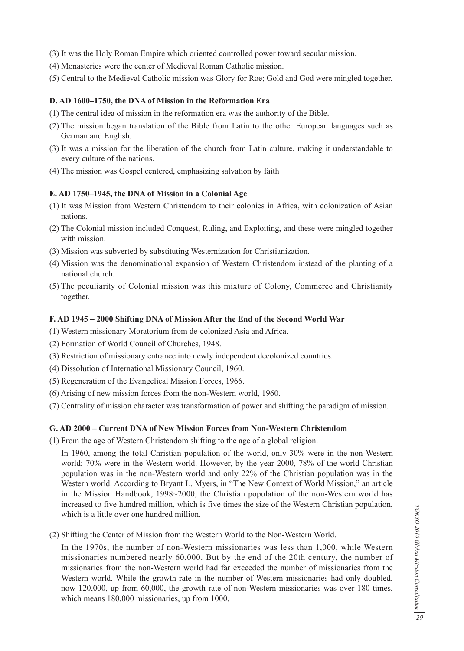- (3) It was the Holy Roman Empire which oriented controlled power toward secular mission.
- (4) Monasteries were the center of Medieval Roman Catholic mission.
- (5) Central to the Medieval Catholic mission was Glory for Roe; Gold and God were mingled together.

## **D. AD 1600–1750, the DNA of Mission in the Reformation Era**

- (1) The central idea of mission in the reformation era was the authority of the Bible.
- (2) The mission began translation of the Bible from Latin to the other European languages such as German and English.
- (3) It was a mission for the liberation of the church from Latin culture, making it understandable to every culture of the nations.
- (4) The mission was Gospel centered, emphasizing salvation by faith

# **E. AD 1750–1945, the DNA of Mission in a Colonial Age**

- (1) It was Mission from Western Christendom to their colonies in Africa, with colonization of Asian nations.
- (2) The Colonial mission included Conquest, Ruling, and Exploiting, and these were mingled together with mission.
- (3) Mission was subverted by substituting Westernization for Christianization.
- (4) Mission was the denominational expansion of Western Christendom instead of the planting of a national church.
- (5) The peculiarity of Colonial mission was this mixture of Colony, Commerce and Christianity together.

# **F. AD 1945 – 2000 Shifting DNA of Mission After the End of the Second World War**

- (1) Western missionary Moratorium from de-colonized Asia and Africa.
- (2) Formation of World Council of Churches, 1948.
- (3) Restriction of missionary entrance into newly independent decolonized countries.
- (4) Dissolution of International Missionary Council, 1960.
- (5) Regeneration of the Evangelical Mission Forces, 1966.
- (6) Arising of new mission forces from the non-Western world, 1960.
- (7) Centrality of mission character was transformation of power and shifting the paradigm of mission.

# **G. AD 2000 – Current DNA of New Mission Forces from Non-Western Christendom**

(1) From the age of Western Christendom shifting to the age of a global religion.

 In 1960, among the total Christian population of the world, only 30% were in the non-Western world; 70% were in the Western world. However, by the year 2000, 78% of the world Christian population was in the non-Western world and only 22% of the Christian population was in the Western world. According to Bryant L. Myers, in "The New Context of World Mission," an article in the Mission Handbook, 1998~2000, the Christian population of the non-Western world has increased to five hundred million, which is five times the size of the Western Christian population, which is a little over one hundred million.

(2) Shifting the Center of Mission from the Western World to the Non-Western World.

 In the 1970s, the number of non-Western missionaries was less than 1,000, while Western missionaries numbered nearly 60,000. But by the end of the 20th century, the number of missionaries from the non-Western world had far exceeded the number of missionaries from the Western world. While the growth rate in the number of Western missionaries had only doubled, now 120,000, up from 60,000, the growth rate of non-Western missionaries was over 180 times, which means 180,000 missionaries, up from 1000.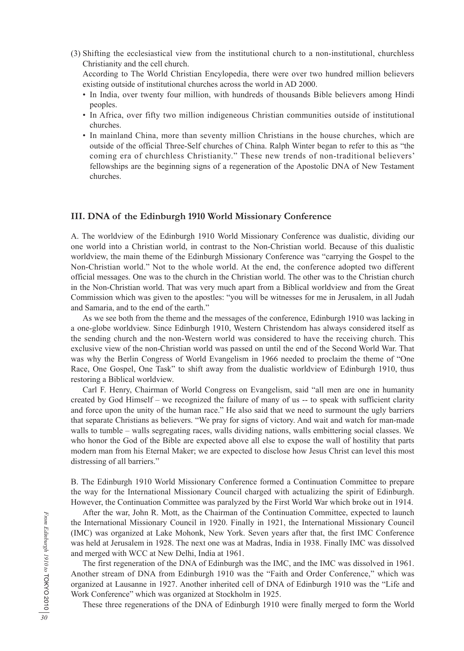(3) Shifting the ecclesiastical view from the institutional church to a non-institutional, churchless Christianity and the cell church.

 According to The World Christian Encylopedia, there were over two hundred million believers existing outside of institutional churches across the world in AD 2000.

- In India, over twenty four million, with hundreds of thousands Bible believers among Hindi peoples.
- In Africa, over fifty two million indigeneous Christian communities outside of institutional churches.
- In mainland China, more than seventy million Christians in the house churches, which are outside of the official Three-Self churches of China. Ralph Winter began to refer to this as "the coming era of churchless Christianity." These new trends of non-traditional believers' fellowships are the beginning signs of a regeneration of the Apostolic DNA of New Testament churches.

## **III. DNA of the Edinburgh 1910 World Missionary Conference**

A. The worldview of the Edinburgh 1910 World Missionary Conference was dualistic, dividing our one world into a Christian world, in contrast to the Non-Christian world. Because of this dualistic worldview, the main theme of the Edinburgh Missionary Conference was "carrying the Gospel to the Non-Christian world." Not to the whole world. At the end, the conference adopted two different official messages. One was to the church in the Christian world. The other was to the Christian church in the Non-Christian world. That was very much apart from a Biblical worldview and from the Great Commission which was given to the apostles: "you will be witnesses for me in Jerusalem, in all Judah and Samaria, and to the end of the earth."

As we see both from the theme and the messages of the conference, Edinburgh 1910 was lacking in a one-globe worldview. Since Edinburgh 1910, Western Christendom has always considered itself as the sending church and the non-Western world was considered to have the receiving church. This exclusive view of the non-Christian world was passed on until the end of the Second World War. That was why the Berlin Congress of World Evangelism in 1966 needed to proclaim the theme of "One Race, One Gospel, One Task" to shift away from the dualistic worldview of Edinburgh 1910, thus restoring a Biblical worldview.

Carl F. Henry, Chairman of World Congress on Evangelism, said "all men are one in humanity created by God Himself – we recognized the failure of many of us -- to speak with sufficient clarity and force upon the unity of the human race." He also said that we need to surmount the ugly barriers that separate Christians as believers. "We pray for signs of victory. And wait and watch for man-made walls to tumble – walls segregating races, walls dividing nations, walls embittering social classes. We who honor the God of the Bible are expected above all else to expose the wall of hostility that parts modern man from his Eternal Maker; we are expected to disclose how Jesus Christ can level this most distressing of all barriers."

B. The Edinburgh 1910 World Missionary Conference formed a Continuation Committee to prepare the way for the International Missionary Council charged with actualizing the spirit of Edinburgh. However, the Continuation Committee was paralyzed by the First World War which broke out in 1914.

After the war, John R. Mott, as the Chairman of the Continuation Committee, expected to launch the International Missionary Council in 1920. Finally in 1921, the International Missionary Council (IMC) was organized at Lake Mohonk, New York. Seven years after that, the first IMC Conference was held at Jerusalem in 1928. The next one was at Madras, India in 1938. Finally IMC was dissolved and merged with WCC at New Delhi, India at 1961.

The first regeneration of the DNA of Edinburgh was the IMC, and the IMC was dissolved in 1961. Another stream of DNA from Edinburgh 1910 was the "Faith and Order Conference," which was organized at Lausanne in 1927. Another inherited cell of DNA of Edinburgh 1910 was the "Life and Work Conference" which was organized at Stockholm in 1925.

These three regenerations of the DNA of Edinburgh 1910 were finally merged to form the World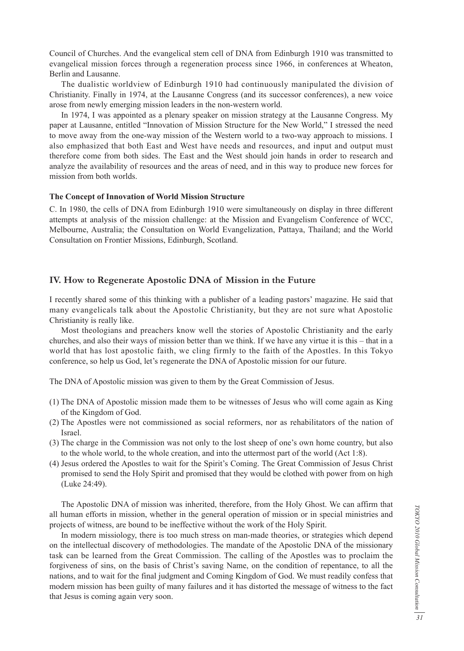Council of Churches. And the evangelical stem cell of DNA from Edinburgh 1910 was transmitted to evangelical mission forces through a regeneration process since 1966, in conferences at Wheaton, Berlin and Lausanne.

The dualistic worldview of Edinburgh 1910 had continuously manipulated the division of Christianity. Finally in 1974, at the Lausanne Congress (and its successor conferences), a new voice arose from newly emerging mission leaders in the non-western world.

In 1974, I was appointed as a plenary speaker on mission strategy at the Lausanne Congress. My paper at Lausanne, entitled "Innovation of Mission Structure for the New World," I stressed the need to move away from the one-way mission of the Western world to a two-way approach to missions. I also emphasized that both East and West have needs and resources, and input and output must therefore come from both sides. The East and the West should join hands in order to research and analyze the availability of resources and the areas of need, and in this way to produce new forces for mission from both worlds.

## **The Concept of Innovation of World Mission Structure**

C. In 1980, the cells of DNA from Edinburgh 1910 were simultaneously on display in three different attempts at analysis of the mission challenge: at the Mission and Evangelism Conference of WCC, Melbourne, Australia; the Consultation on World Evangelization, Pattaya, Thailand; and the World Consultation on Frontier Missions, Edinburgh, Scotland.

## **IV. How to Regenerate Apostolic DNA of Mission in the Future**

I recently shared some of this thinking with a publisher of a leading pastors' magazine. He said that many evangelicals talk about the Apostolic Christianity, but they are not sure what Apostolic Christianity is really like.

Most theologians and preachers know well the stories of Apostolic Christianity and the early churches, and also their ways of mission better than we think. If we have any virtue it is this – that in a world that has lost apostolic faith, we cling firmly to the faith of the Apostles. In this Tokyo conference, so help us God, let's regenerate the DNA of Apostolic mission for our future.

The DNA of Apostolic mission was given to them by the Great Commission of Jesus.

- (1) The DNA of Apostolic mission made them to be witnesses of Jesus who will come again as King of the Kingdom of God.
- (2) The Apostles were not commissioned as social reformers, nor as rehabilitators of the nation of Israel.
- (3) The charge in the Commission was not only to the lost sheep of one's own home country, but also to the whole world, to the whole creation, and into the uttermost part of the world (Act 1:8).
- (4) Jesus ordered the Apostles to wait for the Spirit's Coming. The Great Commission of Jesus Christ promised to send the Holy Spirit and promised that they would be clothed with power from on high (Luke 24:49).

The Apostolic DNA of mission was inherited, therefore, from the Holy Ghost. We can affirm that all human efforts in mission, whether in the general operation of mission or in special ministries and projects of witness, are bound to be ineffective without the work of the Holy Spirit.

In modern missiology, there is too much stress on man-made theories, or strategies which depend on the intellectual discovery of methodologies. The mandate of the Apostolic DNA of the missionary task can be learned from the Great Commission. The calling of the Apostles was to proclaim the forgiveness of sins, on the basis of Christ's saving Name, on the condition of repentance, to all the nations, and to wait for the final judgment and Coming Kingdom of God. We must readily confess that modern mission has been guilty of many failures and it has distorted the message of witness to the fact that Jesus is coming again very soon.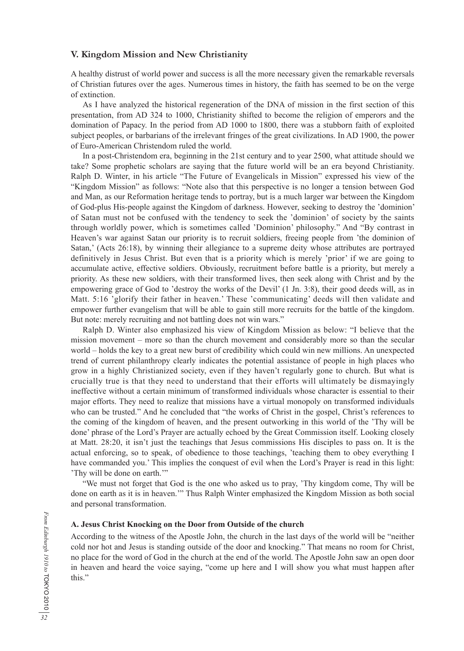## **V. Kingdom Mission and New Christianity**

A healthy distrust of world power and success is all the more necessary given the remarkable reversals of Christian futures over the ages. Numerous times in history, the faith has seemed to be on the verge of extinction.

As I have analyzed the historical regeneration of the DNA of mission in the first section of this presentation, from AD 324 to 1000, Christianity shifted to become the religion of emperors and the domination of Papacy. In the period from AD 1000 to 1800, there was a stubborn faith of exploited subject peoples, or barbarians of the irrelevant fringes of the great civilizations. In AD 1900, the power of Euro-American Christendom ruled the world.

In a post-Christendom era, beginning in the 21st century and to year 2500, what attitude should we take? Some prophetic scholars are saying that the future world will be an era beyond Christianity. Ralph D. Winter, in his article "The Future of Evangelicals in Mission" expressed his view of the "Kingdom Mission" as follows: "Note also that this perspective is no longer a tension between God and Man, as our Reformation heritage tends to portray, but is a much larger war between the Kingdom of God-plus His-people against the Kingdom of darkness. However, seeking to destroy the 'dominion' of Satan must not be confused with the tendency to seek the 'dominion' of society by the saints through worldly power, which is sometimes called 'Dominion' philosophy." And "By contrast in Heaven's war against Satan our priority is to recruit soldiers, freeing people from 'the dominion of Satan,' (Acts 26:18), by winning their allegiance to a supreme deity whose attributes are portrayed definitively in Jesus Christ. But even that is a priority which is merely 'prior' if we are going to accumulate active, effective soldiers. Obviously, recruitment before battle is a priority, but merely a priority. As these new soldiers, with their transformed lives, then seek along with Christ and by the empowering grace of God to 'destroy the works of the Devil' (1 Jn. 3:8), their good deeds will, as in Matt. 5:16 'glorify their father in heaven.' These 'communicating' deeds will then validate and empower further evangelism that will be able to gain still more recruits for the battle of the kingdom. But note: merely recruiting and not battling does not win wars."

Ralph D. Winter also emphasized his view of Kingdom Mission as below: "I believe that the mission movement – more so than the church movement and considerably more so than the secular world – holds the key to a great new burst of credibility which could win new millions. An unexpected trend of current philanthropy clearly indicates the potential assistance of people in high places who grow in a highly Christianized society, even if they haven't regularly gone to church. But what is crucially true is that they need to understand that their efforts will ultimately be dismayingly ineffective without a certain minimum of transformed individuals whose character is essential to their major efforts. They need to realize that missions have a virtual monopoly on transformed individuals who can be trusted." And he concluded that "the works of Christ in the gospel, Christ's references to the coming of the kingdom of heaven, and the present outworking in this world of the 'Thy will be done' phrase of the Lord's Prayer are actually echoed by the Great Commission itself. Looking closely at Matt. 28:20, it isn't just the teachings that Jesus commissions His disciples to pass on. It is the actual enforcing, so to speak, of obedience to those teachings, 'teaching them to obey everything I have commanded you.' This implies the conquest of evil when the Lord's Prayer is read in this light: 'Thy will be done on earth.'"

"We must not forget that God is the one who asked us to pray, 'Thy kingdom come, Thy will be done on earth as it is in heaven.'" Thus Ralph Winter emphasized the Kingdom Mission as both social and personal transformation.

## **A. Jesus Christ Knocking on the Door from Outside of the church**

According to the witness of the Apostle John, the church in the last days of the world will be "neither cold nor hot and Jesus is standing outside of the door and knocking." That means no room for Christ, no place for the word of God in the church at the end of the world. The Apostle John saw an open door in heaven and heard the voice saying, "come up here and I will show you what must happen after this."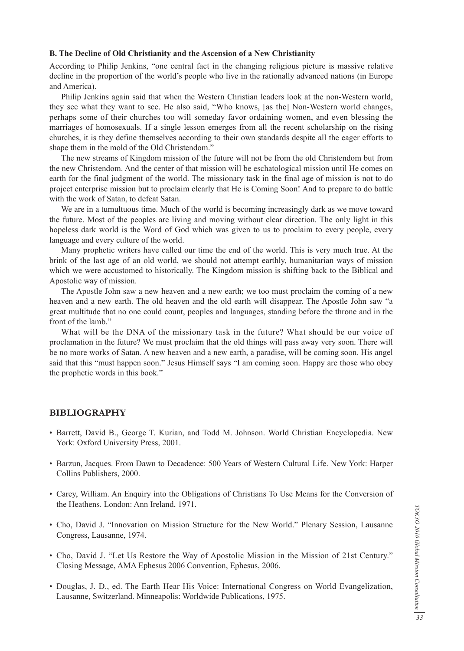## **B. The Decline of Old Christianity and the Ascension of a New Christianity**

According to Philip Jenkins, "one central fact in the changing religious picture is massive relative decline in the proportion of the world's people who live in the rationally advanced nations (in Europe and America).

Philip Jenkins again said that when the Western Christian leaders look at the non-Western world, they see what they want to see. He also said, "Who knows, [as the] Non-Western world changes, perhaps some of their churches too will someday favor ordaining women, and even blessing the marriages of homosexuals. If a single lesson emerges from all the recent scholarship on the rising churches, it is they define themselves according to their own standards despite all the eager efforts to shape them in the mold of the Old Christendom."

The new streams of Kingdom mission of the future will not be from the old Christendom but from the new Christendom. And the center of that mission will be eschatological mission until He comes on earth for the final judgment of the world. The missionary task in the final age of mission is not to do project enterprise mission but to proclaim clearly that He is Coming Soon! And to prepare to do battle with the work of Satan, to defeat Satan.

We are in a tumultuous time. Much of the world is becoming increasingly dark as we move toward the future. Most of the peoples are living and moving without clear direction. The only light in this hopeless dark world is the Word of God which was given to us to proclaim to every people, every language and every culture of the world.

Many prophetic writers have called our time the end of the world. This is very much true. At the brink of the last age of an old world, we should not attempt earthly, humanitarian ways of mission which we were accustomed to historically. The Kingdom mission is shifting back to the Biblical and Apostolic way of mission.

The Apostle John saw a new heaven and a new earth; we too must proclaim the coming of a new heaven and a new earth. The old heaven and the old earth will disappear. The Apostle John saw "a great multitude that no one could count, peoples and languages, standing before the throne and in the front of the lamb."

What will be the DNA of the missionary task in the future? What should be our voice of proclamation in the future? We must proclaim that the old things will pass away very soon. There will be no more works of Satan. A new heaven and a new earth, a paradise, will be coming soon. His angel said that this "must happen soon." Jesus Himself says "I am coming soon. Happy are those who obey the prophetic words in this book."

## **BIBLIOGRAPHY**

- Barrett, David B., George T. Kurian, and Todd M. Johnson. World Christian Encyclopedia. New York: Oxford University Press, 2001.
- Barzun, Jacques. From Dawn to Decadence: 500 Years of Western Cultural Life. New York: Harper Collins Publishers, 2000.
- Carey, William. An Enquiry into the Obligations of Christians To Use Means for the Conversion of the Heathens. London: Ann Ireland, 1971.
- Cho, David J. "Innovation on Mission Structure for the New World." Plenary Session, Lausanne Congress, Lausanne, 1974.
- Cho, David J. "Let Us Restore the Way of Apostolic Mission in the Mission of 21st Century." Closing Message, AMA Ephesus 2006 Convention, Ephesus, 2006.
- Douglas, J. D., ed. The Earth Hear His Voice: International Congress on World Evangelization, Lausanne, Switzerland. Minneapolis: Worldwide Publications, 1975.